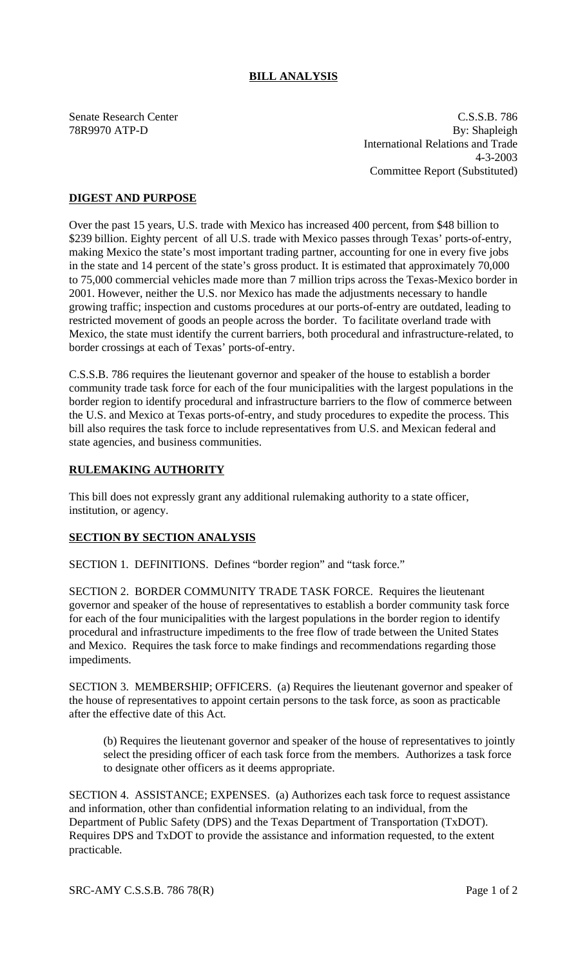# **BILL ANALYSIS**

Senate Research Center C.S.S.B. 786 78R9970 ATP-D By: Shapleigh International Relations and Trade 4-3-2003 Committee Report (Substituted)

## **DIGEST AND PURPOSE**

Over the past 15 years, U.S. trade with Mexico has increased 400 percent, from \$48 billion to \$239 billion. Eighty percent of all U.S. trade with Mexico passes through Texas' ports-of-entry, making Mexico the state's most important trading partner, accounting for one in every five jobs in the state and 14 percent of the state's gross product. It is estimated that approximately 70,000 to 75,000 commercial vehicles made more than 7 million trips across the Texas-Mexico border in 2001. However, neither the U.S. nor Mexico has made the adjustments necessary to handle growing traffic; inspection and customs procedures at our ports-of-entry are outdated, leading to restricted movement of goods an people across the border. To facilitate overland trade with Mexico, the state must identify the current barriers, both procedural and infrastructure-related, to border crossings at each of Texas' ports-of-entry.

C.S.S.B. 786 requires the lieutenant governor and speaker of the house to establish a border community trade task force for each of the four municipalities with the largest populations in the border region to identify procedural and infrastructure barriers to the flow of commerce between the U.S. and Mexico at Texas ports-of-entry, and study procedures to expedite the process. This bill also requires the task force to include representatives from U.S. and Mexican federal and state agencies, and business communities.

### **RULEMAKING AUTHORITY**

This bill does not expressly grant any additional rulemaking authority to a state officer, institution, or agency.

#### **SECTION BY SECTION ANALYSIS**

SECTION 1. DEFINITIONS. Defines "border region" and "task force."

SECTION 2. BORDER COMMUNITY TRADE TASK FORCE. Requires the lieutenant governor and speaker of the house of representatives to establish a border community task force for each of the four municipalities with the largest populations in the border region to identify procedural and infrastructure impediments to the free flow of trade between the United States and Mexico. Requires the task force to make findings and recommendations regarding those impediments.

SECTION 3. MEMBERSHIP; OFFICERS. (a) Requires the lieutenant governor and speaker of the house of representatives to appoint certain persons to the task force, as soon as practicable after the effective date of this Act.

(b) Requires the lieutenant governor and speaker of the house of representatives to jointly select the presiding officer of each task force from the members. Authorizes a task force to designate other officers as it deems appropriate.

SECTION 4. ASSISTANCE; EXPENSES. (a) Authorizes each task force to request assistance and information, other than confidential information relating to an individual, from the Department of Public Safety (DPS) and the Texas Department of Transportation (TxDOT). Requires DPS and TxDOT to provide the assistance and information requested, to the extent practicable.